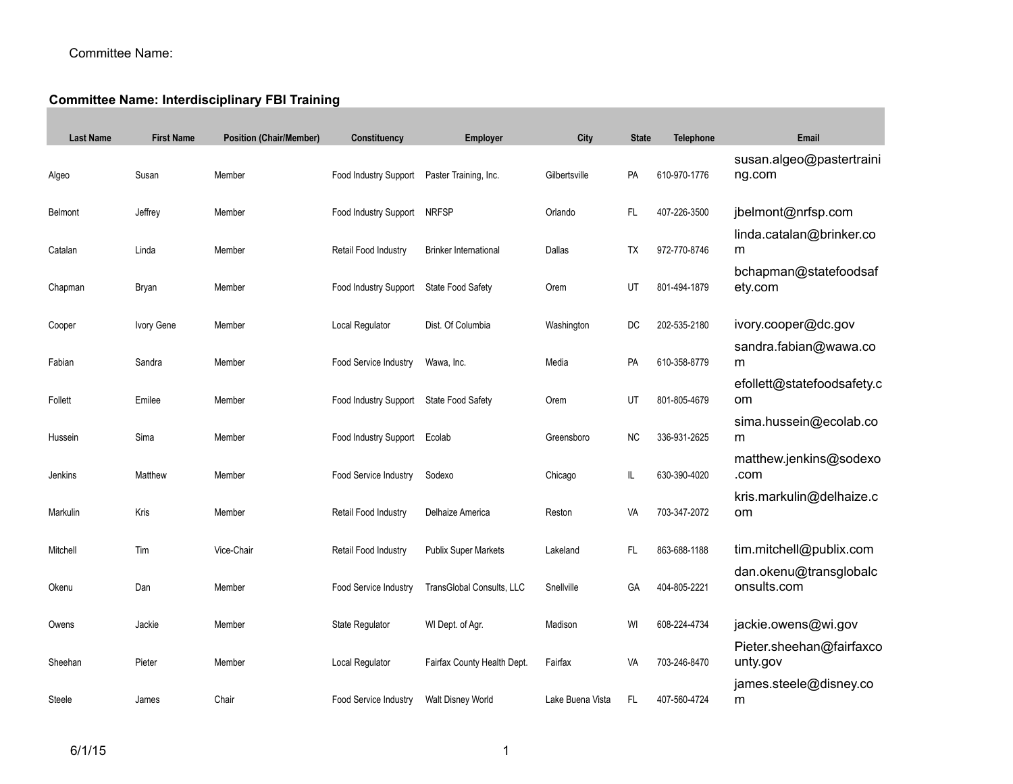## Committee Name:

## **Committee Name: Interdisciplinary FBI Training**

| <b>Last Name</b> | <b>First Name</b> | <b>Position (Chair/Member)</b> | Constituency                            | <b>Employer</b>              | City             | <b>State</b> | Telephone    | Email                                     |
|------------------|-------------------|--------------------------------|-----------------------------------------|------------------------------|------------------|--------------|--------------|-------------------------------------------|
| Algeo            | Susan             | Member                         | Food Industry Support                   | Paster Training, Inc.        | Gilbertsville    | PA           | 610-970-1776 | susan.algeo@pastertraini<br>ng.com        |
| <b>Belmont</b>   | Jeffrey           | Member                         | Food Industry Support                   | <b>NRFSP</b>                 | Orlando          | <b>FL</b>    | 407-226-3500 | jbelmont@nrfsp.com                        |
| Catalan          | Linda             | Member                         | Retail Food Industry                    | <b>Brinker International</b> | Dallas           | <b>TX</b>    | 972-770-8746 | linda.catalan@brinker.co<br>m             |
| Chapman          | Bryan             | Member                         | Food Industry Support                   | State Food Safety            | Orem             | UT           | 801-494-1879 | bchapman@statefoodsaf<br>ety.com          |
| Cooper           | Ivory Gene        | Member                         | Local Regulator                         | Dist. Of Columbia            | Washington       | DC           | 202-535-2180 | ivory.cooper@dc.gov                       |
| Fabian           | Sandra            | Member                         | Food Service Industry                   | Wawa, Inc.                   | Media            | PA           | 610-358-8779 | sandra.fabian@wawa.co<br>m                |
| Follett          | Emilee            | Member                         | Food Industry Support State Food Safety |                              | Orem             | UT           | 801-805-4679 | efollett@statefoodsafety.c<br>om          |
| Hussein          | Sima              | Member                         | Food Industry Support                   | Ecolab                       | Greensboro       | <b>NC</b>    | 336-931-2625 | sima.hussein@ecolab.co<br>m               |
| Jenkins          | Matthew           | Member                         | Food Service Industry                   | Sodexo                       | Chicago          | IL.          | 630-390-4020 | matthew.jenkins@sodexo<br>.com            |
| Markulin         | Kris              | Member                         | Retail Food Industry                    | Delhaize America             | Reston           | VA           | 703-347-2072 | kris.markulin@delhaize.c<br><sub>om</sub> |
| Mitchell         | Tim               | Vice-Chair                     | Retail Food Industry                    | <b>Publix Super Markets</b>  | Lakeland         | FL.          | 863-688-1188 | tim.mitchell@publix.com                   |
| Okenu            | Dan               | Member                         | Food Service Industry                   | TransGlobal Consults, LLC    | Snellville       | GA           | 404-805-2221 | dan.okenu@transglobalc<br>onsults.com     |
| Owens            | Jackie            | Member                         | State Regulator                         | WI Dept. of Agr.             | Madison          | WI           | 608-224-4734 | jackie.owens@wi.gov                       |
| Sheehan          | Pieter            | Member                         | Local Regulator                         | Fairfax County Health Dept.  | Fairfax          | VA           | 703-246-8470 | Pieter.sheehan@fairfaxco<br>unty.gov      |
| Steele           | James             | Chair                          | Food Service Industry                   | Walt Disney World            | Lake Buena Vista | <b>FL</b>    | 407-560-4724 | james.steele@disney.co<br>m               |
|                  |                   |                                |                                         |                              |                  |              |              |                                           |